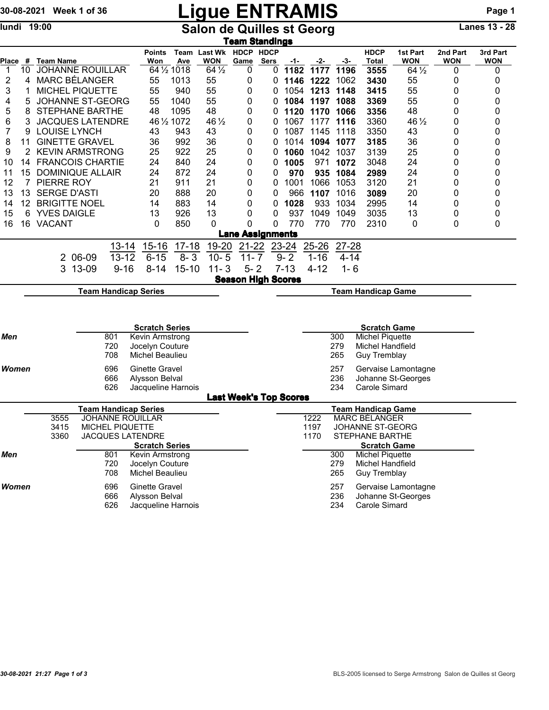# 30-08-2021 Week 1 of 36 Ligue ENTRAMIS Page 1

## lundi 19:00 **Salon de Quilles st Georg** Lanes 13 - 28

| <u>Team Standings</u> |    |                                                          |         |                             |                       |                                    |                                      |                               |              |          |                                                   |          |                                                   |                        |                        |                        |  |  |
|-----------------------|----|----------------------------------------------------------|---------|-----------------------------|-----------------------|------------------------------------|--------------------------------------|-------------------------------|--------------|----------|---------------------------------------------------|----------|---------------------------------------------------|------------------------|------------------------|------------------------|--|--|
| Place                 | #  | Team Name                                                |         |                             | <b>Points</b><br>Won  | Ave                                | Team Last Wk HDCP HDCP<br><b>WON</b> | Game                          | Sers         | -1-      | -2-                                               | -3-      | <b>HDCP</b><br>Total                              | 1st Part<br><b>WON</b> | 2nd Part<br><b>WON</b> | 3rd Part<br><b>WON</b> |  |  |
| 1                     | 10 | <b>JOHANNE ROUILLAR</b>                                  |         |                             |                       | 64 1/2 1018                        | $64\frac{1}{2}$                      | 0                             | 0            | 1182     | 1177                                              | 1196     | 3555                                              | $64\frac{1}{2}$        | 0                      | 0                      |  |  |
| $\overline{c}$        | 4  | <b>MARC BÉLANGER</b>                                     |         |                             | 55                    | 1013                               | 55                                   | 0                             | 0            | 1146     | 1222                                              | 1062     | 3430                                              | 55                     | 0                      | 0                      |  |  |
| 3                     | 1  | MICHEL PIQUETTE                                          |         |                             | 55                    | 940                                | 55                                   | 0                             | 0            | 1054     | 1213                                              | 1148     | 3415                                              | 55                     | 0                      | 0                      |  |  |
| 4                     | 5  | JOHANNE ST-GEORG                                         |         |                             | 55                    | 1040                               | 55                                   | 0                             | 0            | 1084     | 1197                                              | 1088     | 3369                                              | 55                     | 0                      | 0                      |  |  |
| 5                     | 8  | <b>STEPHANE BARTHE</b>                                   |         |                             | 48                    | 1095                               | 48                                   | 0                             | 0            | 1120     | 1170                                              | 1066     | 3356                                              | 48                     | 0                      | 0                      |  |  |
| 6                     | 3  | <b>JACQUES LATENDRE</b>                                  |         |                             |                       | 46 1/2 1072                        | $46\frac{1}{2}$                      | 0                             | 0            | 1067     | 1177                                              | 1116     | 3360                                              | 46 1/2                 | 0                      | 0                      |  |  |
| 7                     | 9  | <b>LOUISE LYNCH</b>                                      |         |                             | 43                    | 943                                | 43                                   | 0                             | 0            | 1087     | 1145                                              | 1118     | 3350                                              | 43                     | 0                      | 0                      |  |  |
| 8                     | 11 | <b>GINETTE GRAVEL</b>                                    |         |                             | 36                    | 992                                | 36                                   | 0                             | 0            | 1014     | 1094                                              | 1077     | 3185                                              | 36                     | 0                      | 0                      |  |  |
| 9                     | 2  | <b>KEVIN ARMSTRONG</b>                                   |         |                             | 25                    | 922                                | 25                                   | 0                             | 0            | 1060     | 1042                                              | 1037     | 3139                                              | 25                     | 0                      | 0                      |  |  |
| 10                    | 14 | <b>FRANCOIS CHARTIE</b>                                  |         |                             | 24                    | 840                                | 24                                   | 0                             | 0            | 1005     | 971                                               | 1072     | 3048                                              | 24                     | 0                      | 0                      |  |  |
| 11                    | 15 | <b>DOMINIQUE ALLAIR</b>                                  |         |                             | 24                    | 872                                | 24                                   | 0                             | 0            | 970      | 935                                               | 1084     | 2989                                              | 24                     | 0                      | 0                      |  |  |
| 12                    | 7  | PIERRE ROY                                               |         |                             | 21                    | 911                                | 21                                   | 0                             | 0            | 1001     | 1066                                              | 1053     | 3120                                              | 21                     | 0                      | 0                      |  |  |
| 13                    | 13 | <b>SERGE D'ASTI</b>                                      |         |                             | 20                    | 888                                | 20                                   | 0                             | 0            | 966      | 1107                                              | 1016     | 3089                                              | 20                     | 0                      | 0                      |  |  |
| 14                    | 12 | <b>BRIGITTE NOEL</b>                                     |         |                             | 14                    | 883                                | 14                                   | 0                             | 0            | 1028     | 933                                               | 1034     | 2995                                              | 14                     | 0                      | 0                      |  |  |
| 15                    | 6  | <b>YVES DAIGLE</b>                                       |         |                             | 13                    | 926                                | 13                                   | 0                             | 0            | 937      | 1049                                              | 1049     | 3035                                              | 13                     | 0                      | 0                      |  |  |
| 16                    | 16 | <b>VACANT</b>                                            |         |                             | 0                     | 850                                | 0                                    | 0                             | $\mathbf{0}$ | 770      | 770                                               | 770      | 2310                                              | 0                      | 0                      | 0                      |  |  |
|                       |    |                                                          |         |                             |                       |                                    |                                      | <b>Lane Assignments</b>       |              |          |                                                   |          |                                                   |                        |                        |                        |  |  |
|                       |    |                                                          |         | $13 - 14$                   | $15 - 16$             | $17 - 18$                          | 19-20                                | $21 - 22$                     |              | 23-24    | $25 - 26$                                         | 27-28    |                                                   |                        |                        |                        |  |  |
|                       |    |                                                          | 2 06-09 | $13 - 12$                   | $6 - 15$              | $8 - 3$                            | $10 - 5$                             | $11 - 7$                      |              | $9 - 2$  | $1 - 16$                                          | $4 - 14$ |                                                   |                        |                        |                        |  |  |
|                       |    | 3                                                        | 13-09   | $9 - 16$                    | $8 - 14$              | $15 - 10$                          | $11 - 3$                             | $5 - 2$                       |              | $7 - 13$ | $4 - 12$                                          | $1 - 6$  |                                                   |                        |                        |                        |  |  |
|                       |    |                                                          |         |                             |                       |                                    |                                      |                               |              |          |                                                   |          |                                                   |                        |                        |                        |  |  |
|                       |    | <b>Season High Scores</b>                                |         |                             |                       |                                    |                                      |                               |              |          |                                                   |          |                                                   |                        |                        |                        |  |  |
|                       |    | <b>Team Handicap Series</b><br><b>Team Handicap Game</b> |         |                             |                       |                                    |                                      |                               |              |          |                                                   |          |                                                   |                        |                        |                        |  |  |
|                       |    |                                                          |         |                             |                       |                                    |                                      |                               |              |          |                                                   |          |                                                   |                        |                        |                        |  |  |
|                       |    |                                                          |         |                             |                       |                                    |                                      |                               |              |          |                                                   |          |                                                   |                        |                        |                        |  |  |
|                       |    | <b>Scratch Series</b>                                    |         |                             |                       |                                    |                                      |                               |              |          |                                                   |          | <b>Scratch Game</b>                               |                        |                        |                        |  |  |
| Men                   |    |                                                          |         | 801                         |                       | Kevin Armstrong<br>Jocelyn Couture |                                      |                               |              |          | 300<br>Michel Piquette<br>279<br>Michel Handfield |          |                                                   |                        |                        |                        |  |  |
|                       |    |                                                          |         | 720<br>708                  | Michel Beaulieu       |                                    |                                      |                               |              |          |                                                   | 265      | <b>Guy Tremblay</b>                               |                        |                        |                        |  |  |
|                       |    |                                                          |         |                             |                       |                                    |                                      |                               |              |          |                                                   |          |                                                   |                        |                        |                        |  |  |
| Women                 |    |                                                          |         | 696                         | <b>Ginette Gravel</b> |                                    |                                      |                               |              |          |                                                   | 257      |                                                   | Gervaise Lamontagne    |                        |                        |  |  |
|                       |    |                                                          |         | 666                         | Alysson Belval        |                                    |                                      |                               |              |          |                                                   | 236      |                                                   | Johanne St-Georges     |                        |                        |  |  |
|                       |    |                                                          |         | 626                         | Jacqueline Harnois    |                                    |                                      |                               |              |          |                                                   | 234      | Carole Simard                                     |                        |                        |                        |  |  |
|                       |    |                                                          |         |                             |                       |                                    |                                      | <b>Last Week's Top Scores</b> |              |          |                                                   |          |                                                   |                        |                        |                        |  |  |
|                       |    | 3555                                                     |         | <b>Team Handicap Series</b> |                       |                                    |                                      |                               |              |          | 1222                                              |          | <b>Team Handicap Game</b><br><b>MARC BÉLANGER</b> |                        |                        |                        |  |  |
|                       |    | <b>JOHANNE ROUILLAR</b><br>3415<br>MICHEL PIQUETTE       |         |                             |                       |                                    |                                      |                               |              |          | 1197                                              |          | <b>JOHANNE ST-GEORG</b>                           |                        |                        |                        |  |  |
|                       |    | <b>JACQUES LATENDRE</b><br>3360                          |         |                             |                       |                                    |                                      |                               |              | 1170     |                                                   |          | STEPHANE BARTHE                                   |                        |                        |                        |  |  |
|                       |    |                                                          |         |                             | <b>Scratch Series</b> |                                    |                                      |                               |              |          |                                                   |          | <b>Scratch Game</b>                               |                        |                        |                        |  |  |
| Men                   |    |                                                          |         | 801                         | Kevin Armstrong       |                                    |                                      |                               |              |          |                                                   | 300      | <b>Michel Piquette</b>                            |                        |                        |                        |  |  |
|                       |    |                                                          |         | 720                         | Jocelyn Couture       |                                    |                                      |                               |              |          |                                                   | 279      | Michel Handfield                                  |                        |                        |                        |  |  |
|                       |    |                                                          |         | 708                         | Michel Beaulieu       |                                    |                                      |                               |              |          |                                                   | 265      | <b>Guy Tremblay</b>                               |                        |                        |                        |  |  |
| Women                 |    |                                                          |         | 696                         | <b>Ginette Gravel</b> |                                    |                                      |                               |              |          |                                                   | 257      |                                                   | Gervaise Lamontagne    |                        |                        |  |  |
|                       |    |                                                          |         | 666                         | Alysson Belval        |                                    |                                      |                               |              |          |                                                   | 236      |                                                   | Johanne St-Georges     |                        |                        |  |  |
|                       |    |                                                          |         | 626                         | Jacqueline Harnois    |                                    |                                      |                               |              |          |                                                   | 234      | Carole Simard                                     |                        |                        |                        |  |  |
|                       |    |                                                          |         |                             |                       |                                    |                                      |                               |              |          |                                                   |          |                                                   |                        |                        |                        |  |  |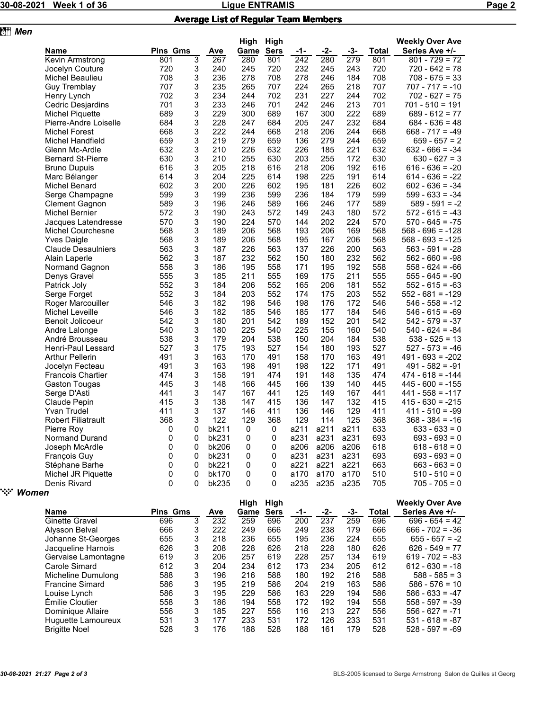**z** *Men* 

### 30-08-2021 Week 1 of 36 Ligue ENTRAMIS Page 2

#### Average List of Regular Team Members

|                           |                 |   |              | High | High        |      |      |      |       | <b>Weekly Over Ave</b> |
|---------------------------|-----------------|---|--------------|------|-------------|------|------|------|-------|------------------------|
| Name                      | <b>Pins Gms</b> |   | Ave          | Game | <b>Sers</b> | -1-  | -2-  | -3-  | Total | Series Ave +/-         |
| Kevin Armstrong           | 801             | 3 | 267          | 280  | 801         | 242  | 280  | 279  | 801   | $801 - 729 = 72$       |
| Jocelyn Couture           | 720             | 3 | 240          | 245  | 720         | 232  | 245  | 243  | 720   | 720 - 642 = 78         |
| Michel Beaulieu           | 708             | 3 | 236          | 278  | 708         | 278  | 246  | 184  | 708   | $708 - 675 = 33$       |
| Guy Tremblay              | 707             | 3 | 235          | 265  | 707         | 224  | 265  | 218  | 707   | $707 - 717 = -10$      |
| Henry Lynch               | 702             | 3 | 234          | 244  | 702         | 231  | 227  | 244  | 702   | 702 - 627 = 75         |
| Cedric Desjardins         | 701             | 3 | 233          | 246  | 701         | 242  | 246  | 213  | 701   | $701 - 510 = 191$      |
| Michel Piquette           | 689             | 3 | 229          | 300  | 689         | 167  | 300  | 222  | 689   | $689 - 612 = 77$       |
| Pierre-Andre Loiselle     | 684             | 3 | 228          | 247  | 684         | 205  | 247  | 232  | 684   | $684 - 636 = 48$       |
| <b>Michel Forest</b>      | 668             | 3 | 222          | 244  | 668         | 218  | 206  | 244  | 668   | $668 - 717 = -49$      |
| Michel Handfield          | 659             | 3 | 219          | 279  | 659         | 136  | 279  | 244  | 659   | 659 - 657 = 2          |
| Glenn Mc-Ardle            | 632             | 3 | 210          | 226  | 632         | 226  | 185  | 221  | 632   | $632 - 666 = -34$      |
| <b>Bernard St-Pierre</b>  | 630             | 3 | 210          | 255  | 630         | 203  | 255  | 172  | 630   | $630 - 627 = 3$        |
| <b>Bruno Dupuis</b>       | 616             | 3 | 205          | 218  | 616         | 218  | 206  | 192  | 616   | $616 - 636 = -20$      |
| Marc Bélanger             | 614             | 3 | 204          | 225  | 614         | 198  | 225  | 191  | 614   | $614 - 636 = -22$      |
| Michel Benard             | 602             | 3 | 200          | 226  | 602         | 195  | 181  | 226  | 602   | $602 - 636 = -34$      |
| Serge Champagne           | 599             | 3 | 199          | 236  | 599         | 236  | 184  | 179  | 599   | $599 - 633 = -34$      |
| Clement Gagnon            | 589             | 3 | 196          | 246  | 589         | 166  | 246  | 177  | 589   | 589 - 591 = -2         |
| Michel Bernier            | 572             | 3 | 190          | 243  | 572         | 149  | 243  | 180  | 572   | $572 - 615 = -43$      |
| Jacques Latendresse       | 570             | 3 | 190          | 224  | 570         | 144  | 202  | 224  | 570   | $570 - 645 = -75$      |
| <b>Michel Courchesne</b>  | 568             | 3 | 189          | 206  | 568         | 193  | 206  | 169  | 568   | $568 - 696 = -128$     |
| <b>Yves Daigle</b>        | 568             | 3 | 189          | 206  | 568         | 195  | 167  | 206  | 568   | $568 - 693 = -125$     |
| <b>Claude Desaulniers</b> | 563             | 3 | 187          | 226  | 563         | 137  | 226  | 200  | 563   | $563 - 591 = -28$      |
| Alain Laperle             | 562             | 3 | 187          | 232  | 562         | 150  | 180  | 232  | 562   | $562 - 660 = -98$      |
| Normand Gagnon            | 558             | 3 | 186          | 195  | 558         | 171  | 195  | 192  | 558   | $558 - 624 = -66$      |
| Denys Gravel              | 555             | 3 | 185          | 211  | 555         | 169  | 175  | 211  | 555   | $555 - 645 = -90$      |
| Patrick Joly              | 552             | 3 | 184          | 206  | 552         | 165  | 206  | 181  | 552   | $552 - 615 = -63$      |
| Serge Forget              | 552             | 3 | 184          | 203  | 552         | 174  | 175  | 203  | 552   | $552 - 681 = -129$     |
| Roger Marcouiller         | 546             | 3 | 182          | 198  | 546         | 198  | 176  | 172  | 546   | $546 - 558 = -12$      |
| Michel Leveille           | 546             | 3 | 182          | 185  | 546         | 185  | 177  | 184  | 546   | $546 - 615 = -69$      |
| Benoit Jolicoeur          | 542             | 3 | 180          | 201  | 542         | 189  | 152  | 201  | 542   | $542 - 579 = -37$      |
| Andre Lalonge             | 540             | 3 | 180          | 225  | 540         | 225  | 155  | 160  | 540   | $540 - 624 = -84$      |
| André Brousseau           | 538             | 3 | 179          | 204  | 538         | 150  | 204  | 184  | 538   | $538 - 525 = 13$       |
| Henri-Paul Lessard        | 527             | 3 | 175          | 193  | 527         | 154  | 180  | 193  | 527   | $527 - 573 = -46$      |
| <b>Arthur Pellerin</b>    | 491             | 3 | 163          | 170  | 491         | 158  | 170  | 163  | 491   | $491 - 693 = -202$     |
| Jocelyn Fecteau           | 491             | 3 | 163          | 198  | 491         | 198  | 122  | 171  | 491   | $491 - 582 = -91$      |
| Francois Chartier         | 474             | 3 | 158          | 191  | 474         | 191  | 148  | 135  | 474   | 474 - 618 = -144       |
| Gaston Tougas             | 445             | 3 | 148          | 166  | 445         | 166  | 139  | 140  | 445   | $445 - 600 = -155$     |
| Serge D'Asti              | 441             | 3 | 147          | 167  | 441         | 125  | 149  | 167  | 441   | $441 - 558 = -117$     |
| Claude Pepin              | 415             | 3 | 138          | 147  | 415         | 136  | 147  | 132  | 415   | $415 - 630 = -215$     |
| Yvan Trudel               | 411             | 3 | 137          | 146  | 411         | 136  | 146  | 129  | 411   | $411 - 510 = -99$      |
| <b>Robert Filiatrault</b> | 368             | 3 | 122          | 129  | 368         | 129  | 114  | 125  | 368   | $368 - 384 = -16$      |
| Pierre Roy                | 0               | 0 | bk211        | 0    | 0           | a211 | a211 | a211 | 633   | 633 - 633 = 0          |
| Normand Durand            | 0               | 0 | bk231        | 0    | 0           | a231 | a231 | a231 | 693   | $693 - 693 = 0$        |
| Joseph McArdle            | 0               | 0 | <b>bk206</b> | 0    | 0           | a206 | a206 | a206 | 618   | $618 - 618 = 0$        |
| François Guy              | 0               | 0 | bk231        | 0    | 0           | a231 | a231 | a231 | 693   | $693 - 693 = 0$        |
| Stéphane Barhe            | 0               | 0 | bk221        | 0    | 0           | a221 | a221 | a221 | 663   | $663 - 663 = 0$        |
| Michel JR Piquette        | 0               | 0 | bk170        | 0    | 0           | a170 | a170 | a170 | 510   | $510 - 510 = 0$        |
| Denis Rivard              | 0               | 0 | bk235        | 0    | 0           | a235 | a235 | a235 | 705   | $705 - 705 = 0$        |
|                           |                 |   |              |      |             |      |      |      |       |                        |

### " *Women*

| .,,                    |                 |   |     |      |             |     |     |     |       |                        |
|------------------------|-----------------|---|-----|------|-------------|-----|-----|-----|-------|------------------------|
|                        |                 |   |     | High | High        |     |     |     |       | <b>Weekly Over Ave</b> |
| <b>Name</b>            | <b>Pins Gms</b> |   | Ave | Game | <b>Sers</b> | -1- | -2- | -3- | Total | Series Ave +/-         |
| <b>Ginette Gravel</b>  | 696             | 3 | 232 | 259  | 696         | 200 | 237 | 259 | 696   | $696 - 654 = 42$       |
| Alysson Belval         | 666             | 3 | 222 | 249  | 666         | 249 | 238 | 179 | 666   | $666 - 702 = -36$      |
| Johanne St-Georges     | 655             | 3 | 218 | 236  | 655         | 195 | 236 | 224 | 655   | $655 - 657 = -2$       |
| Jacqueline Harnois     | 626             | 3 | 208 | 228  | 626         | 218 | 228 | 180 | 626   | $626 - 549 = 77$       |
| Gervaise Lamontagne    | 619             | 3 | 206 | 257  | 619         | 228 | 257 | 134 | 619   | $619 - 702 = -83$      |
| Carole Simard          | 612             | 3 | 204 | 234  | 612         | 173 | 234 | 205 | 612   | $612 - 630 = -18$      |
| Micheline Dumulong     | 588             | 3 | 196 | 216  | 588         | 180 | 192 | 216 | 588   | $588 - 585 = 3$        |
| <b>Francine Simard</b> | 586             | 3 | 195 | 219  | 586         | 204 | 219 | 163 | 586   | $586 - 576 = 10$       |
| Louise Lynch           | 586             | 3 | 195 | 229  | 586         | 163 | 229 | 194 | 586   | $586 - 633 = -47$      |
| Émilie Cloutier        | 558             | 3 | 186 | 194  | 558         | 172 | 192 | 194 | 558   | $558 - 597 = -39$      |
| Dominique Allaire      | 556             | 3 | 185 | 227  | 556         | 116 | 213 | 227 | 556   | $556 - 627 = -71$      |
| Huguette Lamoureux     | 531             | 3 | 177 | 233  | 531         | 172 | 126 | 233 | 531   | $531 - 618 = -87$      |
| <b>Brigitte Noel</b>   | 528             | 3 | 176 | 188  | 528         | 188 | 161 | 179 | 528   | $528 - 597 = -69$      |
|                        |                 |   |     |      |             |     |     |     |       |                        |